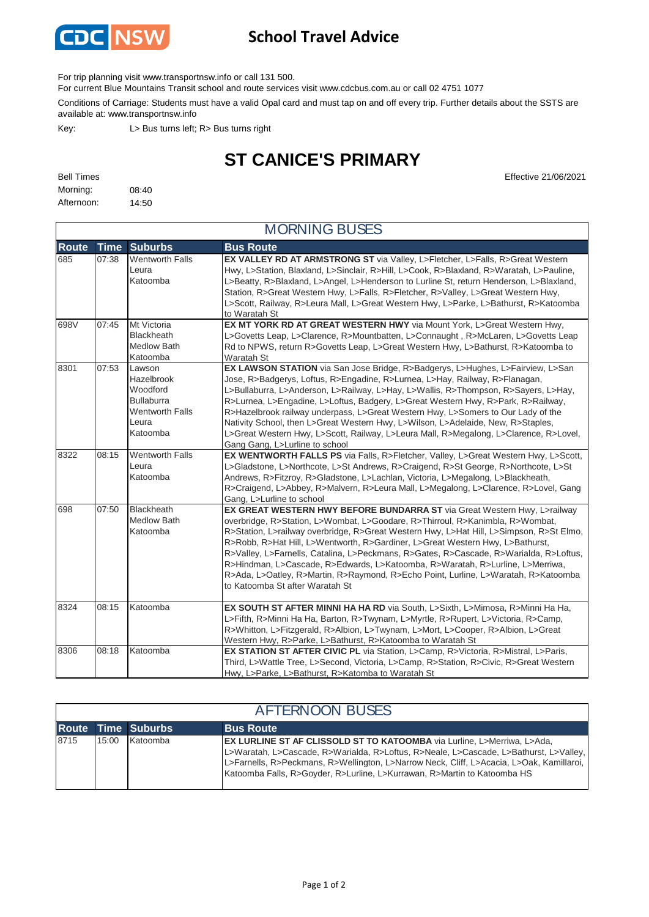

## **School Travel Advice**

For trip planning visit www.transportnsw.info or call 131 500.

For current Blue Mountains Transit school and route services visit www.cdcbus.com.au or call 02 4751 1077

Conditions of Carriage: Students must have a valid Opal card and must tap on and off every trip. Further details about the SSTS are available at: www.transportnsw.info

Key: L> Bus turns left; R> Bus turns right

## **ST CANICE'S PRIMARY**

| <b>Bell Times</b> |       |
|-------------------|-------|
| Morning:          | 08:40 |
| Afternoon:        | 14:50 |

**Effective 21/06/2021** 

| <b>MORNING BUSES</b> |             |                                                                                                      |                                                                                                                                                                                                                                                                                                                                                                                                                                                                                                                                                                                                                                            |  |
|----------------------|-------------|------------------------------------------------------------------------------------------------------|--------------------------------------------------------------------------------------------------------------------------------------------------------------------------------------------------------------------------------------------------------------------------------------------------------------------------------------------------------------------------------------------------------------------------------------------------------------------------------------------------------------------------------------------------------------------------------------------------------------------------------------------|--|
| <b>Route</b>         | <b>Time</b> | <b>Suburbs</b>                                                                                       | <b>Bus Route</b>                                                                                                                                                                                                                                                                                                                                                                                                                                                                                                                                                                                                                           |  |
| 685                  | 07:38       | <b>Wentworth Falls</b><br>Leura<br>Katoomba                                                          | EX VALLEY RD AT ARMSTRONG ST via Valley, L>Fletcher, L>Falls, R>Great Western<br>Hwy, L>Station, Blaxland, L>Sinclair, R>Hill, L>Cook, R>Blaxland, R>Waratah, L>Pauline,<br>L>Beatty, R>Blaxland, L>Angel, L>Henderson to Lurline St, return Henderson, L>Blaxland,<br>Station, R>Great Western Hwy, L>Falls, R>Fletcher, R>Valley, L>Great Western Hwy,<br>L>Scott, Railway, R>Leura Mall, L>Great Western Hwy, L>Parke, L>Bathurst, R>Katoomba<br>to Waratah St                                                                                                                                                                          |  |
| 698V                 | 07:45       | Mt Victoria<br><b>Blackheath</b><br><b>Medlow Bath</b><br>Katoomba                                   | EX MT YORK RD AT GREAT WESTERN HWY via Mount York, L>Great Western Hwy,<br>L>Govetts Leap, L>Clarence, R>Mountbatten, L>Connaught, R>McLaren, L>Govetts Leap<br>Rd to NPWS, return R>Govetts Leap, L>Great Western Hwy, L>Bathurst, R>Katoomba to<br>Waratah St                                                                                                                                                                                                                                                                                                                                                                            |  |
| 8301                 | 07:53       | Lawson<br>Hazelbrook<br>Woodford<br><b>Bullaburra</b><br><b>Wentworth Falls</b><br>Leura<br>Katoomba | EX LAWSON STATION via San Jose Bridge, R>Badgerys, L>Hughes, L>Fairview, L>San<br>Jose, R>Badgerys, Loftus, R>Engadine, R>Lurnea, L>Hay, Railway, R>Flanagan,<br>L>Bullaburra, L>Anderson, L>Railway, L>Hay, L>Wallis, R>Thompson, R>Sayers, L>Hay,<br>R>Lurnea, L>Engadine, L>Loftus, Badgery, L>Great Western Hwy, R>Park, R>Railway,<br>R>Hazelbrook railway underpass, L>Great Western Hwy, L>Somers to Our Lady of the<br>Nativity School, then L>Great Western Hwy, L>Wilson, L>Adelaide, New, R>Staples,<br>L>Great Western Hwy, L>Scott, Railway, L>Leura Mall, R>Megalong, L>Clarence, R>Lovel,<br>Gang Gang, L>Lurline to school |  |
| 8322                 | 08:15       | <b>Wentworth Falls</b><br>Leura<br>Katoomba                                                          | EX WENTWORTH FALLS PS via Falls, R>Fletcher, Valley, L>Great Western Hwy, L>Scott,<br>L>Gladstone, L>Northcote, L>St Andrews, R>Craigend, R>St George, R>Northcote, L>St<br>Andrews, R>Fitzroy, R>Gladstone, L>Lachlan, Victoria, L>Megalong, L>Blackheath,<br>R>Craigend, L>Abbey, R>Malvern, R>Leura Mall, L>Megalong, L>Clarence, R>Lovel, Gang<br>Gang, L>Lurline to school                                                                                                                                                                                                                                                            |  |
| 698                  | 07:50       | <b>Blackheath</b><br><b>Medlow Bath</b><br>Katoomba                                                  | EX GREAT WESTERN HWY BEFORE BUNDARRA ST via Great Western Hwy, L>railway<br>overbridge, R>Station, L>Wombat, L>Goodare, R>Thirroul, R>Kanimbla, R>Wombat,<br>R>Station, L>railway overbridge, R>Great Western Hwy, L>Hat Hill, L>Simpson, R>St Elmo,<br>R>Robb, R>Hat Hill, L>Wentworth, R>Gardiner, L>Great Western Hwy, L>Bathurst,<br>R>Valley, L>Farnells, Catalina, L>Peckmans, R>Gates, R>Cascade, R>Warialda, R>Loftus,<br>R>Hindman, L>Cascade, R>Edwards, L>Katoomba, R>Waratah, R>Lurline, L>Merriwa,<br>R>Ada, L>Oatley, R>Martin, R>Raymond, R>Echo Point, Lurline, L>Waratah, R>Katoomba<br>to Katoomba St after Waratah St   |  |
| 8324                 | 08:15       | Katoomba                                                                                             | EX SOUTH ST AFTER MINNI HA HA RD via South, L>Sixth, L>Mimosa, R>Minni Ha Ha,<br>L>Fifth, R>Minni Ha Ha, Barton, R>Twynam, L>Myrtle, R>Rupert, L>Victoria, R>Camp,<br>R>Whitton, L>Fitzgerald, R>Albion, L>Twynam, L>Mort, L>Cooper, R>Albion, L>Great<br>Western Hwy, R>Parke, L>Bathurst, R>Katoomba to Waratah St                                                                                                                                                                                                                                                                                                                       |  |
| 8306                 | 08:18       | Katoomba                                                                                             | EX STATION ST AFTER CIVIC PL via Station, L>Camp, R>Victoria, R>Mistral, L>Paris,<br>Third, L>Wattle Tree, L>Second, Victoria, L>Camp, R>Station, R>Civic, R>Great Western<br>Hwy, L>Parke, L>Bathurst, R>Katomba to Waratah St                                                                                                                                                                                                                                                                                                                                                                                                            |  |

| <b>AFTERNOON BUSES</b> |       |                           |                                                                                                                                                                                                                                                                                                                                                 |
|------------------------|-------|---------------------------|-------------------------------------------------------------------------------------------------------------------------------------------------------------------------------------------------------------------------------------------------------------------------------------------------------------------------------------------------|
|                        |       | <b>Route Time Suburbs</b> | <b>Bus Route</b>                                                                                                                                                                                                                                                                                                                                |
| 8715                   | 15:00 | Katoomba                  | <b>EX LURLINE ST AF CLISSOLD ST TO KATOOMBA</b> via Lurline, L>Merriwa, L>Ada,<br>L>Waratah, L>Cascade, R>Warialda, R>Loftus, R>Neale, L>Cascade, L>Bathurst, L>Valley,<br>L>Farnells, R>Peckmans, R>Wellington, L>Narrow Neck, Cliff, L>Acacia, L>Oak, Kamillaroi,<br>Katoomba Falls, R>Goyder, R>Lurline, L>Kurrawan, R>Martin to Katoomba HS |